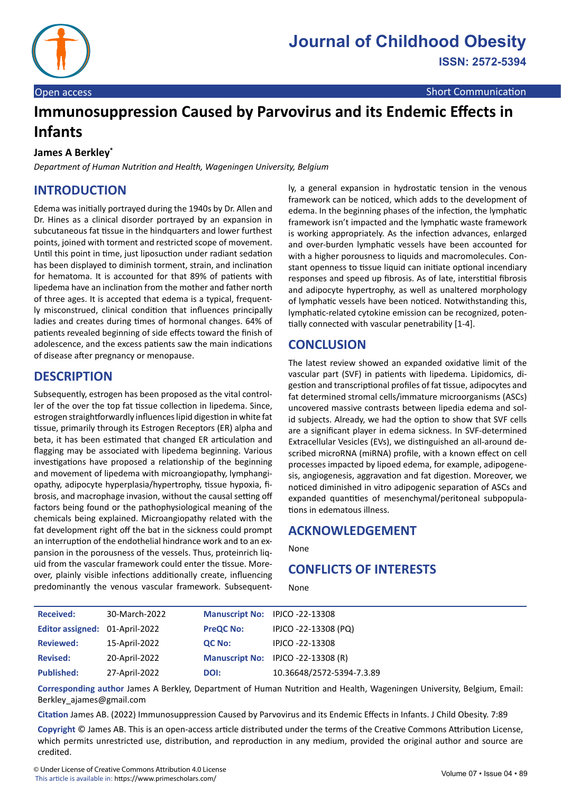

# **Immunosuppression Caused by Parvovirus and its Endemic Effects in Infants**

#### **James A Berkley\***

*Department of Human Nutrition and Health, Wageningen University, Belgium*

## **INTRODUCTION**

Edema was initially portrayed during the 1940s by Dr. Allen and Dr. Hines as a clinical disorder portrayed by an expansion in subcutaneous fat tissue in the hindquarters and lower furthest points, joined with torment and restricted scope of movement. Until this point in time, just liposuction under radiant sedation has been displayed to diminish torment, strain, and inclination for hematoma. It is accounted for that 89% of patients with lipedema have an inclination from the mother and father north of three ages. It is accepted that edema is a typical, frequently misconstrued, clinical condition that influences principally ladies and creates during times of hormonal changes. 64% of patients revealed beginning of side effects toward the finish of adolescence, and the excess patients saw the main indications of disease after pregnancy or menopause.

#### **DESCRIPTION**

Subsequently, estrogen has been proposed as the vital controller of the over the top fat tissue collection in lipedema. Since, estrogen straightforwardly influences lipid digestion in white fat tissue, primarily through its Estrogen Receptors (ER) alpha and beta, it has been estimated that changed ER articulation and flagging may be associated with lipedema beginning. Various investigations have proposed a relationship of the beginning and movement of lipedema with microangiopathy, lymphangiopathy, adipocyte hyperplasia/hypertrophy, tissue hypoxia, fibrosis, and macrophage invasion, without the causal setting off factors being found or the pathophysiological meaning of the chemicals being explained. Microangiopathy related with the fat development right off the bat in the sickness could prompt an interruption of the endothelial hindrance work and to an expansion in the porousness of the vessels. Thus, proteinrich liquid from the vascular framework could enter the tissue. Moreover, plainly visible infections additionally create, influencing predominantly the venous vascular framework. Subsequently, a general expansion in hydrostatic tension in the venous framework can be noticed, which adds to the development of edema. In the beginning phases of the infection, the lymphatic framework isn't impacted and the lymphatic waste framework is working appropriately. As the infection advances, enlarged and over-burden lymphatic vessels have been accounted for with a higher porousness to liquids and macromolecules. Constant openness to tissue liquid can initiate optional incendiary responses and speed up fibrosis. As of late, interstitial fibrosis and adipocyte hypertrophy, as well as unaltered morphology of lymphatic vessels have been noticed. Notwithstanding this, lymphatic-related cytokine emission can be recognized, potentially connected with vascular penetrability [1-4].

### **CONCLUSION**

The latest review showed an expanded oxidative limit of the vascular part (SVF) in patients with lipedema. Lipidomics, digestion and transcriptional profiles of fat tissue, adipocytes and fat determined stromal cells/immature microorganisms (ASCs) uncovered massive contrasts between lipedia edema and solid subjects. Already, we had the option to show that SVF cells are a significant player in edema sickness. In SVF-determined Extracellular Vesicles (EVs), we distinguished an all-around described microRNA (miRNA) profile, with a known effect on cell processes impacted by lipoed edema, for example, adipogenesis, angiogenesis, aggravation and fat digestion. Moreover, we noticed diminished in vitro adipogenic separation of ASCs and expanded quantities of mesenchymal/peritoneal subpopulations in edematous illness.

#### **ACKNOWLEDGEMENT**

None

## **CONFLICTS OF INTERESTS**

None

| <b>Received:</b>               | 30-March-2022 | Manuscript No: IPJCO -22-13308 |                                    |
|--------------------------------|---------------|--------------------------------|------------------------------------|
| Editor assigned: 01-April-2022 |               | <b>PreQC No:</b>               | IPJCO -22-13308 (PQ)               |
| <b>Reviewed:</b>               | 15-April-2022 | QC No:                         | IPJCO -22-13308                    |
| <b>Revised:</b>                | 20-April-2022 |                                | Manuscript No: IPJCO -22-13308 (R) |
| <b>Published:</b>              | 27-April-2022 | DOI:                           | 10.36648/2572-5394-7.3.89          |

**Corresponding author** James A Berkley, Department of Human Nutrition and Health, Wageningen University, Belgium, Email: Berkley\_ajames@gmail.com

**Citation** James AB. (2022) Immunosuppression Caused by Parvovirus and its Endemic Effects in Infants. J Child Obesity. 7:89

**Copyright** © James AB. This is an open-access article distributed under the terms of the Creative Commons Attribution License, which permits unrestricted use, distribution, and reproduction in any medium, provided the original author and source are credited.